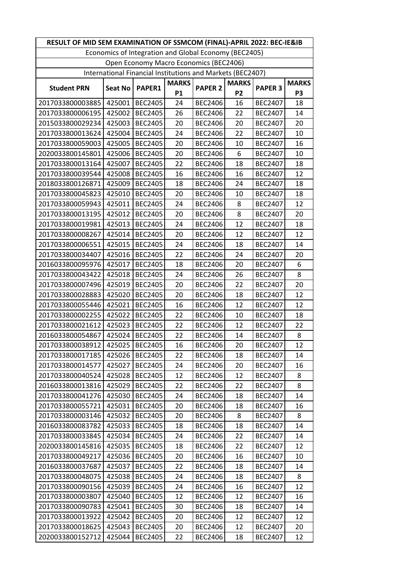| RESULT OF MID SEM EXAMINATION OF SSMCOM (FINAL)-APRIL 2022: BEC-IE&IB |                |                |              |                |                |                |                |  |
|-----------------------------------------------------------------------|----------------|----------------|--------------|----------------|----------------|----------------|----------------|--|
| Economics of Integration and Global Economy (BEC2405)                 |                |                |              |                |                |                |                |  |
| Open Economy Macro Economics (BEC2406)                                |                |                |              |                |                |                |                |  |
| International Financial Institutions and Markets (BEC2407)            |                |                |              |                |                |                |                |  |
| <b>Student PRN</b>                                                    | <b>Seat No</b> | PAPER1         | <b>MARKS</b> | <b>PAPER 2</b> | <b>MARKS</b>   | <b>PAPER 3</b> | <b>MARKS</b>   |  |
|                                                                       |                |                | <b>P1</b>    |                | P <sub>2</sub> |                | P <sub>3</sub> |  |
| 2017033800003885                                                      | 425001         | <b>BEC2405</b> | 24           | <b>BEC2406</b> | 16             | <b>BEC2407</b> | 18             |  |
| 2017033800006195                                                      | 425002         | <b>BEC2405</b> | 26           | <b>BEC2406</b> | 22             | <b>BEC2407</b> | 14             |  |
| 2015033800029234                                                      | 425003         | <b>BEC2405</b> | 20           | <b>BEC2406</b> | 20             | <b>BEC2407</b> | 20             |  |
| 2017033800013624                                                      | 425004         | <b>BEC2405</b> | 24           | <b>BEC2406</b> | 22             | <b>BEC2407</b> | 10             |  |
| 2017033800059003                                                      | 425005         | <b>BEC2405</b> | 20           | <b>BEC2406</b> | 10             | <b>BEC2407</b> | 16             |  |
| 2020033800145801                                                      | 425006         | <b>BEC2405</b> | 20           | <b>BEC2406</b> | 6              | <b>BEC2407</b> | 10             |  |
| 2017033800013164                                                      | 425007         | <b>BEC2405</b> | 22           | <b>BEC2406</b> | 18             | <b>BEC2407</b> | 18             |  |
| 2017033800039544                                                      | 425008         | <b>BEC2405</b> | 16           | <b>BEC2406</b> | 16             | <b>BEC2407</b> | 12             |  |
| 2018033800126871                                                      | 425009         | <b>BEC2405</b> | 18           | <b>BEC2406</b> | 24             | <b>BEC2407</b> | 18             |  |
| 2017033800045823                                                      | 425010         | <b>BEC2405</b> | 20           | <b>BEC2406</b> | 10             | <b>BEC2407</b> | 18             |  |
| 2017033800059943                                                      | 425011         | <b>BEC2405</b> | 24           | <b>BEC2406</b> | 8              | <b>BEC2407</b> | 12             |  |
| 2017033800013195                                                      | 425012         | <b>BEC2405</b> | 20           | <b>BEC2406</b> | 8              | <b>BEC2407</b> | 20             |  |
| 2017033800019981                                                      | 425013         | <b>BEC2405</b> | 24           | <b>BEC2406</b> | 12             | <b>BEC2407</b> | 18             |  |
| 2017033800008267                                                      | 425014         | <b>BEC2405</b> | 20           | <b>BEC2406</b> | 12             | <b>BEC2407</b> | 12             |  |
| 2017033800006551                                                      | 425015         | <b>BEC2405</b> | 24           | <b>BEC2406</b> | 18             | <b>BEC2407</b> | 14             |  |
| 2017033800034407                                                      | 425016         | <b>BEC2405</b> | 22           | <b>BEC2406</b> | 24             | <b>BEC2407</b> | 20             |  |
| 2016033800095976                                                      | 425017         | <b>BEC2405</b> | 18           | <b>BEC2406</b> | 20             | <b>BEC2407</b> | 6              |  |
| 2017033800043422                                                      | 425018         | <b>BEC2405</b> | 24           | <b>BEC2406</b> | 26             | <b>BEC2407</b> | 8              |  |
| 2017033800007496                                                      | 425019         | <b>BEC2405</b> | 20           | <b>BEC2406</b> | 22             | <b>BEC2407</b> | 20             |  |
| 2017033800028883                                                      | 425020         | <b>BEC2405</b> | 20           | <b>BEC2406</b> | 18             | <b>BEC2407</b> | 12             |  |
| 2017033800055446                                                      | 425021         | <b>BEC2405</b> | 16           | <b>BEC2406</b> | 12             | <b>BEC2407</b> | 12             |  |
| 2017033800002255                                                      | 425022         | <b>BEC2405</b> | 22           | <b>BEC2406</b> | 10             | <b>BEC2407</b> | 18             |  |
| 2017033800021612                                                      | 425023         | <b>BEC2405</b> | 22           | <b>BEC2406</b> | 12             | <b>BEC2407</b> | 22             |  |
| 2016033800054867                                                      | 425024         | <b>BEC2405</b> | 22           | <b>BEC2406</b> | 14             | <b>BEC2407</b> | 8              |  |
| 2017033800038912                                                      | 425025         | <b>BEC2405</b> | 16           | <b>BEC2406</b> | 20             | <b>BEC2407</b> | 12             |  |
| 2017033800017185                                                      | 425026         | <b>BEC2405</b> | 22           | BEC2406        | 18             | <b>BEC2407</b> | 14             |  |
| 2017033800014577                                                      | 425027         | <b>BEC2405</b> | 24           | <b>BEC2406</b> | 20             | <b>BEC2407</b> | 16             |  |
| 2017033800040524                                                      | 425028         | <b>BEC2405</b> | 12           | <b>BEC2406</b> | 12             | <b>BEC2407</b> | 8              |  |
| 2016033800013816                                                      | 425029         | <b>BEC2405</b> | 22           | BEC2406        | 22             | <b>BEC2407</b> | 8              |  |
| 2017033800041276                                                      | 425030         | <b>BEC2405</b> | 24           | BEC2406        | 18             | <b>BEC2407</b> | 14             |  |
| 2017033800055721                                                      | 425031         | <b>BEC2405</b> | 20           | <b>BEC2406</b> | 18             | <b>BEC2407</b> | 16             |  |
| 2017033800003146                                                      | 425032         | <b>BEC2405</b> | 20           | <b>BEC2406</b> | 8              | <b>BEC2407</b> | 8              |  |
| 2016033800083782                                                      | 425033         | <b>BEC2405</b> | 18           | <b>BEC2406</b> | 18             | <b>BEC2407</b> | 14             |  |
| 2017033800033845                                                      | 425034         | <b>BEC2405</b> | 24           | BEC2406        | 22             | <b>BEC2407</b> | 14             |  |
| 2020033800145816                                                      | 425035         | <b>BEC2405</b> | 18           | <b>BEC2406</b> | 22             | <b>BEC2407</b> | 12             |  |
| 2017033800049217                                                      | 425036         | <b>BEC2405</b> | 20           | <b>BEC2406</b> | 16             | <b>BEC2407</b> | 10             |  |
| 2016033800037687                                                      | 425037         | <b>BEC2405</b> | 22           | <b>BEC2406</b> | 18             | <b>BEC2407</b> | 14             |  |
| 2017033800048075                                                      | 425038         | <b>BEC2405</b> | 24           | <b>BEC2406</b> | 18             | <b>BEC2407</b> | 8              |  |
| 2017033800090156                                                      | 425039         | <b>BEC2405</b> | 24           | <b>BEC2406</b> | 16             | <b>BEC2407</b> | 12             |  |
| 2017033800003807                                                      | 425040         | <b>BEC2405</b> | 12           | <b>BEC2406</b> | 12             | <b>BEC2407</b> | 16             |  |
| 2017033800090783                                                      | 425041         | <b>BEC2405</b> | 30           | <b>BEC2406</b> | 18             | <b>BEC2407</b> | 14             |  |
| 2017033800013922                                                      | 425042         | <b>BEC2405</b> | 20           | <b>BEC2406</b> | 12             | <b>BEC2407</b> | 12             |  |
| 2017033800018625                                                      | 425043         | <b>BEC2405</b> | 20           | <b>BEC2406</b> | 12             | <b>BEC2407</b> | 20             |  |
| 2020033800152712                                                      | 425044         | <b>BEC2405</b> | 22           | <b>BEC2406</b> | 18             | <b>BEC2407</b> | 12             |  |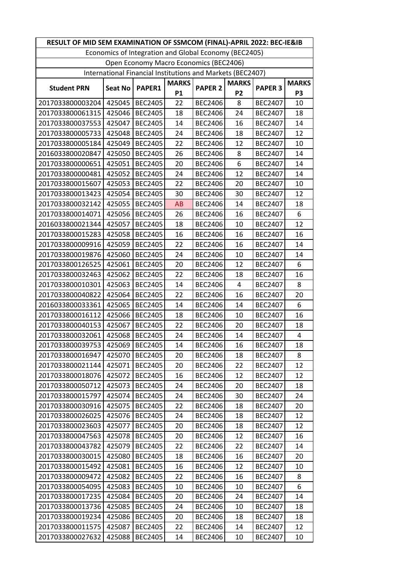| RESULT OF MID SEM EXAMINATION OF SSMCOM (FINAL)-APRIL 2022: BEC-IE&IB |                |                |              |                |                |                |                |  |
|-----------------------------------------------------------------------|----------------|----------------|--------------|----------------|----------------|----------------|----------------|--|
| Economics of Integration and Global Economy (BEC2405)                 |                |                |              |                |                |                |                |  |
| Open Economy Macro Economics (BEC2406)                                |                |                |              |                |                |                |                |  |
| International Financial Institutions and Markets (BEC2407)            |                |                |              |                |                |                |                |  |
| <b>Student PRN</b>                                                    |                | PAPER1         | <b>MARKS</b> | <b>PAPER 2</b> | <b>MARKS</b>   | <b>PAPER 3</b> | <b>MARKS</b>   |  |
|                                                                       | <b>Seat No</b> |                | <b>P1</b>    |                | P <sub>2</sub> |                | P <sub>3</sub> |  |
| 2017033800003204                                                      | 425045         | <b>BEC2405</b> | 22           | <b>BEC2406</b> | 8              | <b>BEC2407</b> | 10             |  |
| 2017033800061315                                                      | 425046         | <b>BEC2405</b> | 18           | <b>BEC2406</b> | 24             | <b>BEC2407</b> | 18             |  |
| 2017033800037553                                                      | 425047         | <b>BEC2405</b> | 14           | <b>BEC2406</b> | 16             | <b>BEC2407</b> | 14             |  |
| 2017033800005733                                                      | 425048         | <b>BEC2405</b> | 24           | <b>BEC2406</b> | 18             | <b>BEC2407</b> | 12             |  |
| 2017033800005184                                                      | 425049         | <b>BEC2405</b> | 22           | <b>BEC2406</b> | 12             | <b>BEC2407</b> | 10             |  |
| 2016033800020847                                                      | 425050         | <b>BEC2405</b> | 26           | <b>BEC2406</b> | 8              | <b>BEC2407</b> | 14             |  |
| 2017033800000651                                                      | 425051         | <b>BEC2405</b> | 20           | <b>BEC2406</b> | 6              | <b>BEC2407</b> | 14             |  |
| 2017033800000481                                                      | 425052         | <b>BEC2405</b> | 24           | <b>BEC2406</b> | 12             | <b>BEC2407</b> | 14             |  |
| 2017033800015607                                                      | 425053         | <b>BEC2405</b> | 22           | <b>BEC2406</b> | 20             | <b>BEC2407</b> | 10             |  |
| 2017033800013423                                                      | 425054         | <b>BEC2405</b> | 30           | <b>BEC2406</b> | 30             | <b>BEC2407</b> | 12             |  |
| 2017033800032142                                                      | 425055         | <b>BEC2405</b> | AB           | <b>BEC2406</b> | 14             | <b>BEC2407</b> | 18             |  |
| 2017033800014071                                                      | 425056         | <b>BEC2405</b> | 26           | <b>BEC2406</b> | 16             | <b>BEC2407</b> | 6              |  |
| 2016033800021344                                                      | 425057         | <b>BEC2405</b> | 18           | <b>BEC2406</b> | 10             | <b>BEC2407</b> | 12             |  |
| 2017033800015283                                                      | 425058         | <b>BEC2405</b> | 16           | <b>BEC2406</b> | 16             | <b>BEC2407</b> | 16             |  |
| 2017033800009916                                                      | 425059         | <b>BEC2405</b> | 22           | <b>BEC2406</b> | 16             | <b>BEC2407</b> | 14             |  |
| 2017033800019876                                                      | 425060         | <b>BEC2405</b> | 24           | <b>BEC2406</b> | 10             | <b>BEC2407</b> | 14             |  |
| 2017033800126525                                                      | 425061         | <b>BEC2405</b> | 20           | <b>BEC2406</b> | 12             | <b>BEC2407</b> | 6              |  |
| 2017033800032463                                                      | 425062         | <b>BEC2405</b> | 22           | <b>BEC2406</b> | 18             | <b>BEC2407</b> | 16             |  |
| 2017033800010301                                                      | 425063         | <b>BEC2405</b> | 14           | <b>BEC2406</b> | 4              | <b>BEC2407</b> | 8              |  |
| 2017033800040822                                                      | 425064         | <b>BEC2405</b> | 22           | <b>BEC2406</b> | 16             | <b>BEC2407</b> | 20             |  |
| 2016033800033361                                                      | 425065         | <b>BEC2405</b> | 14           | <b>BEC2406</b> | 14             | <b>BEC2407</b> | 6              |  |
| 2017033800016112                                                      | 425066         | <b>BEC2405</b> | 18           | <b>BEC2406</b> | 10             | <b>BEC2407</b> | 16             |  |
| 2017033800040153                                                      | 425067         | <b>BEC2405</b> | 22           | <b>BEC2406</b> | 20             | <b>BEC2407</b> | 18             |  |
| 2017033800032061                                                      | 425068         | <b>BEC2405</b> | 24           | <b>BEC2406</b> | 14             | <b>BEC2407</b> | 4              |  |
| 2017033800039753                                                      | 425069         | <b>BEC2405</b> | 14           | <b>BEC2406</b> | 16             | <b>BEC2407</b> | 18             |  |
| 2017033800016947                                                      | 425070         | <b>BEC2405</b> | 20           | BEC2406        | 18             | <b>BEC2407</b> | 8              |  |
| 2017033800021144                                                      | 425071         | <b>BEC2405</b> | 20           | <b>BEC2406</b> | 22             | <b>BEC2407</b> | 12             |  |
| 2017033800018076                                                      | 425072         | <b>BEC2405</b> | 16           | <b>BEC2406</b> | 12             | <b>BEC2407</b> | 12             |  |
| 2017033800050712                                                      | 425073         | <b>BEC2405</b> | 24           | <b>BEC2406</b> | 20             | <b>BEC2407</b> | 18             |  |
| 2017033800015797                                                      | 425074         | <b>BEC2405</b> | 24           | BEC2406        | 30             | <b>BEC2407</b> | 24             |  |
| 2017033800030916                                                      | 425075         | <b>BEC2405</b> | 22           | <b>BEC2406</b> | 18             | <b>BEC2407</b> | 20             |  |
| 2017033800026025                                                      | 425076         | <b>BEC2405</b> | 24           | <b>BEC2406</b> | 18             | <b>BEC2407</b> | 12             |  |
| 2017033800023603                                                      | 425077         | <b>BEC2405</b> | 20           | <b>BEC2406</b> | 18             | <b>BEC2407</b> | 12             |  |
| 2017033800047563                                                      | 425078         | <b>BEC2405</b> | 20           | <b>BEC2406</b> | 12             | <b>BEC2407</b> | 16             |  |
| 2017033800043782                                                      | 425079         | <b>BEC2405</b> | 22           | <b>BEC2406</b> | 22             | <b>BEC2407</b> | 14             |  |
| 2017033800030015                                                      | 425080         | <b>BEC2405</b> | 18           | <b>BEC2406</b> | 16             | <b>BEC2407</b> | 20             |  |
| 2017033800015492                                                      | 425081         | <b>BEC2405</b> | 16           | <b>BEC2406</b> | 12             | <b>BEC2407</b> | 10             |  |
| 2017033800009472                                                      | 425082         | <b>BEC2405</b> | 22           | <b>BEC2406</b> | 16             | <b>BEC2407</b> | 8              |  |
| 2017033800054095                                                      | 425083         | <b>BEC2405</b> | 10           | <b>BEC2406</b> | 10             | <b>BEC2407</b> | 6              |  |
| 2017033800017235                                                      | 425084         | <b>BEC2405</b> | 20           | <b>BEC2406</b> | 24             | <b>BEC2407</b> | 14             |  |
| 2017033800013736                                                      | 425085         | <b>BEC2405</b> | 24           | <b>BEC2406</b> | 10             | <b>BEC2407</b> | 18             |  |
| 2017033800019234                                                      | 425086         | <b>BEC2405</b> | 20           | <b>BEC2406</b> | 18             | <b>BEC2407</b> | 18             |  |
| 2017033800011575                                                      | 425087         | <b>BEC2405</b> | 22           | <b>BEC2406</b> | 14             | <b>BEC2407</b> | 12             |  |
| 2017033800027632                                                      | 425088         | <b>BEC2405</b> | 14           | <b>BEC2406</b> | 10             | <b>BEC2407</b> | 10             |  |